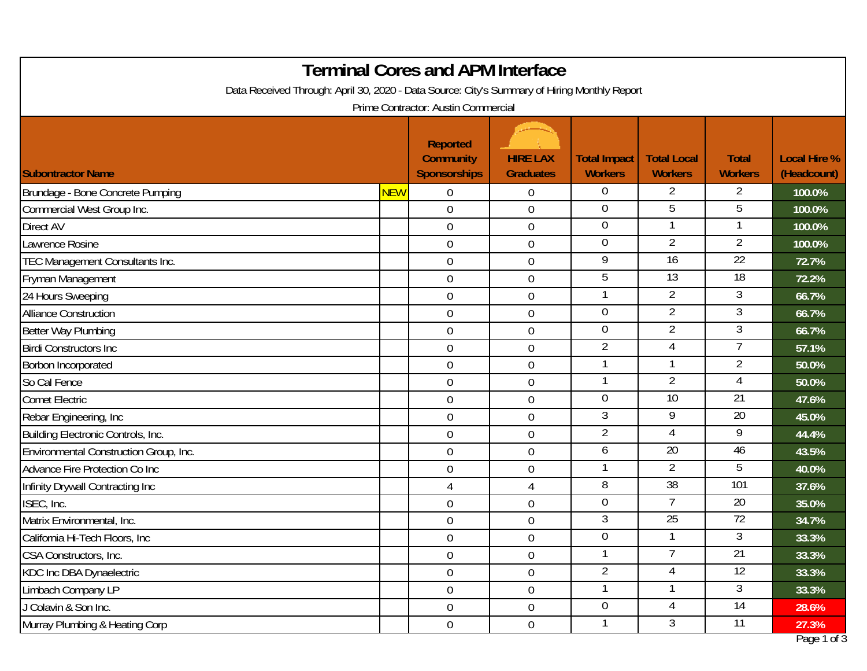| <b>Terminal Cores and APM Interface</b>                                                      |            |                                                            |                                     |                                       |                                      |                                |                                    |  |  |
|----------------------------------------------------------------------------------------------|------------|------------------------------------------------------------|-------------------------------------|---------------------------------------|--------------------------------------|--------------------------------|------------------------------------|--|--|
| Data Received Through: April 30, 2020 - Data Source: City's Summary of Hiring Monthly Report |            |                                                            |                                     |                                       |                                      |                                |                                    |  |  |
| Prime Contractor: Austin Commercial                                                          |            |                                                            |                                     |                                       |                                      |                                |                                    |  |  |
| <b>Subontractor Name</b>                                                                     |            | <b>Reported</b><br><b>Community</b><br><b>Sponsorships</b> | <b>HIRE LAX</b><br><b>Graduates</b> | <b>Total Impact</b><br><b>Workers</b> | <b>Total Local</b><br><b>Workers</b> | <b>Total</b><br><b>Workers</b> | <b>Local Hire %</b><br>(Headcount) |  |  |
| Brundage - Bone Concrete Pumping                                                             | <b>NEW</b> | $\overline{0}$                                             | 0                                   | $\overline{0}$                        | $\overline{2}$                       | 2                              | 100.0%                             |  |  |
| Commercial West Group Inc.                                                                   |            | $\overline{0}$                                             | $\mathbf 0$                         | $\overline{0}$                        | 5                                    | 5                              | 100.0%                             |  |  |
| <b>Direct AV</b>                                                                             |            | $\boldsymbol{0}$                                           | $\boldsymbol{0}$                    | $\overline{0}$                        |                                      |                                | 100.0%                             |  |  |
| Lawrence Rosine                                                                              |            | $\overline{0}$                                             | 0                                   | $\overline{0}$                        | $\overline{2}$                       | $\overline{2}$                 | 100.0%                             |  |  |
| TEC Management Consultants Inc.                                                              |            | $\overline{0}$                                             | $\mathbf 0$                         | 9                                     | 16                                   | $\overline{22}$                | 72.7%                              |  |  |
| Fryman Management                                                                            |            | $\overline{0}$                                             | $\boldsymbol{0}$                    | 5                                     | $\overline{13}$                      | $\overline{18}$                | 72.2%                              |  |  |
| 24 Hours Sweeping                                                                            |            | $\overline{0}$                                             | $\mathbf 0$                         | $\mathbf{1}$                          | $\overline{2}$                       | 3                              | 66.7%                              |  |  |
| <b>Alliance Construction</b>                                                                 |            | $\overline{0}$                                             | $\boldsymbol{0}$                    | $\mathbf 0$                           | $\overline{2}$                       | 3                              | 66.7%                              |  |  |
| Better Way Plumbing                                                                          |            | $\overline{0}$                                             | $\boldsymbol{0}$                    | $\overline{0}$                        | $\overline{2}$                       | $\mathfrak{Z}$                 | 66.7%                              |  |  |
| <b>Birdi Constructors Inc.</b>                                                               |            | $\overline{0}$                                             | $\mathbf 0$                         | $\overline{2}$                        | 4                                    | 7                              | 57.1%                              |  |  |
| Borbon Incorporated                                                                          |            | $\overline{0}$                                             | $\boldsymbol{0}$                    | -1                                    |                                      | $\overline{2}$                 | 50.0%                              |  |  |
| So Cal Fence                                                                                 |            | $\mathbf 0$                                                | 0                                   | $\mathbf{1}$                          | $\overline{2}$                       | 4                              | 50.0%                              |  |  |
| <b>Comet Electric</b>                                                                        |            | $\mathbf 0$                                                | $\mathbf 0$                         | $\overline{0}$                        | 10                                   | $\overline{21}$                | 47.6%                              |  |  |
| Rebar Engineering, Inc.                                                                      |            | $\mathbf 0$                                                | 0                                   | 3                                     | 9                                    | $\overline{20}$                | 45.0%                              |  |  |
| Building Electronic Controls, Inc.                                                           |            | $\overline{0}$                                             | $\boldsymbol{0}$                    | $\overline{2}$                        | 4                                    | 9                              | 44.4%                              |  |  |
| Environmental Construction Group, Inc.                                                       |            | $\mathbf 0$                                                | 0                                   | 6                                     | $\overline{20}$                      | 46                             | 43.5%                              |  |  |
| Advance Fire Protection Co Inc                                                               |            | $\mathbf 0$                                                | $\boldsymbol{0}$                    | -1                                    | $\overline{2}$                       | 5                              | 40.0%                              |  |  |
| Infinity Drywall Contracting Inc                                                             |            | 4                                                          | 4                                   | 8                                     | $\overline{38}$                      | 101                            | 37.6%                              |  |  |
| ISEC, Inc.                                                                                   |            | $\boldsymbol{0}$                                           | $\boldsymbol{0}$                    | $\overline{0}$                        |                                      | 20                             | 35.0%                              |  |  |
| Matrix Environmental, Inc.                                                                   |            | $\mathbf 0$                                                | 0                                   | 3                                     | $\overline{25}$                      | $\overline{72}$                | 34.7%                              |  |  |
| California Hi-Tech Floors, Inc                                                               |            | $\mathbf 0$                                                | $\mathbf 0$                         | $\overline{0}$                        |                                      | 3                              | 33.3%                              |  |  |
| CSA Constructors, Inc.                                                                       |            | $\mathbf 0$                                                | $\boldsymbol{0}$                    | $\mathbf{1}$                          |                                      | 21                             | 33.3%                              |  |  |
| KDC Inc DBA Dynaelectric                                                                     |            | $\overline{0}$                                             | $\boldsymbol{0}$                    | $\overline{2}$                        | 4                                    | $\overline{12}$                | 33.3%                              |  |  |
| Limbach Company LP                                                                           |            | $\overline{0}$                                             | $\boldsymbol{0}$                    | $\mathbf{1}$                          |                                      | $\mathfrak{Z}$                 | 33.3%                              |  |  |
| J Colavin & Son Inc.                                                                         |            | $\overline{0}$                                             | $\boldsymbol{0}$                    | $\overline{0}$                        | 4                                    | 14                             | 28.6%                              |  |  |
| Murray Plumbing & Heating Corp                                                               |            | $\overline{0}$                                             | $\boldsymbol{0}$                    | $\mathbf{1}$                          | 3                                    | 11                             | 27.3%                              |  |  |
|                                                                                              |            |                                                            |                                     |                                       |                                      |                                | Page 1 of 3                        |  |  |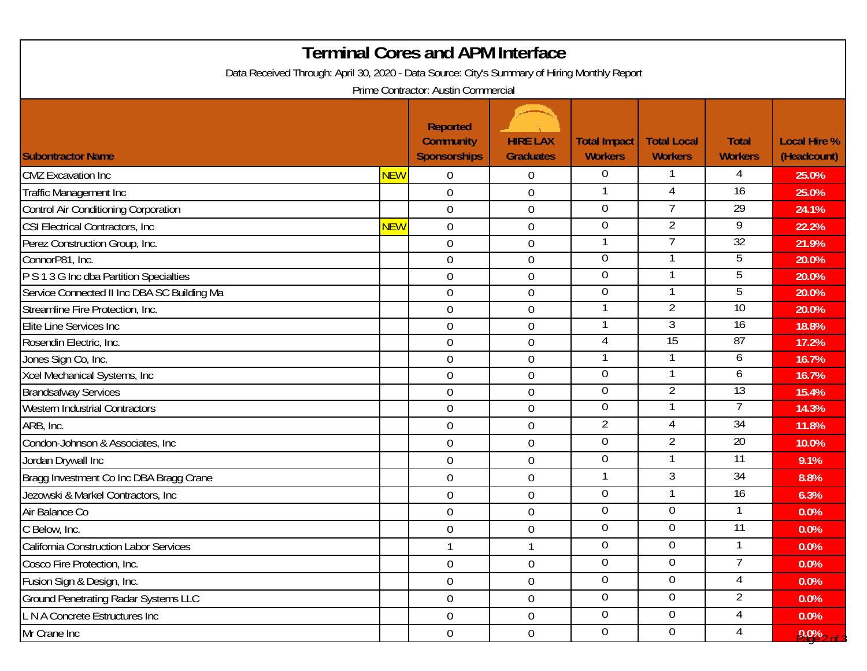| <b>Terminal Cores and APM Interface</b>                                                      |            |                                                            |                                     |                                       |                                      |                                |                                    |  |  |
|----------------------------------------------------------------------------------------------|------------|------------------------------------------------------------|-------------------------------------|---------------------------------------|--------------------------------------|--------------------------------|------------------------------------|--|--|
| Data Received Through: April 30, 2020 - Data Source: City's Summary of Hiring Monthly Report |            |                                                            |                                     |                                       |                                      |                                |                                    |  |  |
| Prime Contractor: Austin Commercial                                                          |            |                                                            |                                     |                                       |                                      |                                |                                    |  |  |
| <b>Subontractor Name</b>                                                                     |            | <b>Reported</b><br><b>Community</b><br><b>Sponsorships</b> | <b>HIRE LAX</b><br><b>Graduates</b> | <b>Total Impact</b><br><b>Workers</b> | <b>Total Local</b><br><b>Workers</b> | <b>Total</b><br><b>Workers</b> | <b>Local Hire %</b><br>(Headcount) |  |  |
| <b>CMZ</b> Excavation Inc                                                                    | <b>NEW</b> | $\overline{0}$                                             | $\mathbf 0$                         | $\overline{0}$                        |                                      | 4                              | 25.0%                              |  |  |
| Traffic Management Inc                                                                       |            | $\mathbf 0$                                                | $\boldsymbol{0}$                    |                                       |                                      | $\overline{16}$                | 25.0%                              |  |  |
|                                                                                              |            | $\overline{0}$                                             | $\boldsymbol{0}$                    | $\overline{0}$                        | $\overline{7}$                       | 29                             | 24.1%                              |  |  |
| <b>Control Air Conditioning Corporation</b><br>CSI Electrical Contractors, Inc.              | <b>NEW</b> | $\mathbf 0$                                                | $\mathbf 0$                         | $\overline{0}$                        | $\overline{2}$                       | $\overline{9}$                 | 22.2%                              |  |  |
|                                                                                              |            | $\overline{0}$                                             | $\boldsymbol{0}$                    |                                       |                                      | 32                             | 21.9%                              |  |  |
| Perez Construction Group, Inc.<br>ConnorP81, Inc.                                            |            | $\overline{0}$                                             | $\mathbf 0$                         | $\overline{0}$                        |                                      | 5                              | 20.0%                              |  |  |
| P S 1 3 G Inc dba Partition Specialties                                                      |            | $\overline{0}$                                             | $\boldsymbol{0}$                    | $\overline{0}$                        |                                      | $\overline{5}$                 | 20.0%                              |  |  |
| Service Connected II Inc DBA SC Building Ma                                                  |            | $\mathbf 0$                                                | $\mathbf 0$                         | $\overline{0}$                        |                                      | 5                              | 20.0%                              |  |  |
| Streamline Fire Protection, Inc.                                                             |            | $\overline{0}$                                             | $\boldsymbol{0}$                    |                                       | $\overline{2}$                       | 10                             | 20.0%                              |  |  |
| Elite Line Services Inc                                                                      |            | $\overline{0}$                                             | $\mathbf 0$                         |                                       | 3                                    | 16                             | 18.8%                              |  |  |
| Rosendin Electric, Inc.                                                                      |            | $\overline{0}$                                             | $\boldsymbol{0}$                    | 4                                     | $\overline{15}$                      | 87                             | 17.2%                              |  |  |
| Jones Sign Co, Inc.                                                                          |            | $\overline{0}$                                             | $\mathbf 0$                         |                                       |                                      | 6                              | 16.7%                              |  |  |
| Xcel Mechanical Systems, Inc                                                                 |            | $\overline{0}$                                             | $\mathbf 0$                         | $\theta$                              |                                      | 6                              | 16.7%                              |  |  |
| <b>Brandsafway Services</b>                                                                  |            | $\overline{0}$                                             | $\mathbf 0$                         | $\overline{0}$                        | 2                                    | $\overline{13}$                | 15.4%                              |  |  |
| <b>Western Industrial Contractors</b>                                                        |            | $\overline{0}$                                             | $\boldsymbol{0}$                    | $\overline{0}$                        |                                      |                                | 14.3%                              |  |  |
| ARB, Inc.                                                                                    |            | $\mathbf 0$                                                | $\boldsymbol{0}$                    | $\overline{2}$                        | $\overline{4}$                       | 34                             | 11.8%                              |  |  |
| Condon-Johnson & Associates, Inc                                                             |            | $\overline{0}$                                             | $\boldsymbol{0}$                    | $\overline{0}$                        | $\overline{2}$                       | $\overline{20}$                | 10.0%                              |  |  |
| Jordan Drywall Inc                                                                           |            | $\overline{0}$                                             | $\boldsymbol{0}$                    | $\overline{0}$                        |                                      | $\overline{11}$                | 9.1%                               |  |  |
| Bragg Investment Co Inc DBA Bragg Crane                                                      |            | $\overline{0}$                                             | $\mathbf 0$                         |                                       | 3                                    | $\overline{34}$                | 8.8%                               |  |  |
| Jezowski & Markel Contractors, Inc                                                           |            | $\mathbf 0$                                                | $\boldsymbol{0}$                    | $\overline{0}$                        |                                      | 16                             | 6.3%                               |  |  |
| Air Balance Co                                                                               |            | $\mathbf 0$                                                | $\boldsymbol{0}$                    | $\overline{0}$                        | $\mathbf 0$                          |                                | 0.0%                               |  |  |
| C Below, Inc.                                                                                |            | $\overline{0}$                                             | $\boldsymbol{0}$                    | $\overline{0}$                        | $\overline{0}$                       | 11                             | 0.0%                               |  |  |
| California Construction Labor Services                                                       |            |                                                            | 1                                   | $\overline{0}$                        | $\overline{0}$                       |                                | 0.0%                               |  |  |
| Cosco Fire Protection, Inc.                                                                  |            | $\overline{0}$                                             | $\boldsymbol{0}$                    | $\overline{0}$                        | $\overline{0}$                       | $7^{\circ}$                    | 0.0%                               |  |  |
| Fusion Sign & Design, Inc.                                                                   |            | $\overline{0}$                                             | $\boldsymbol{0}$                    | $\overline{0}$                        | $\Omega$                             | 4                              | 0.0%                               |  |  |
| <b>Ground Penetrating Radar Systems LLC</b>                                                  |            | $\overline{0}$                                             | $\boldsymbol{0}$                    | $\overline{0}$                        | $\overline{0}$                       | $\overline{2}$                 | 0.0%                               |  |  |
| L N A Concrete Estructures Inc                                                               |            | $\overline{0}$                                             | $\overline{0}$                      | $\overline{0}$                        | $\overline{0}$                       | $\overline{4}$                 | 0.0%                               |  |  |
| Mr Crane Inc                                                                                 |            | $\overline{0}$                                             | $\boldsymbol{0}$                    | $\overline{0}$                        | $\overline{0}$                       | 4                              | $9.0\%$ 2 of 3                     |  |  |